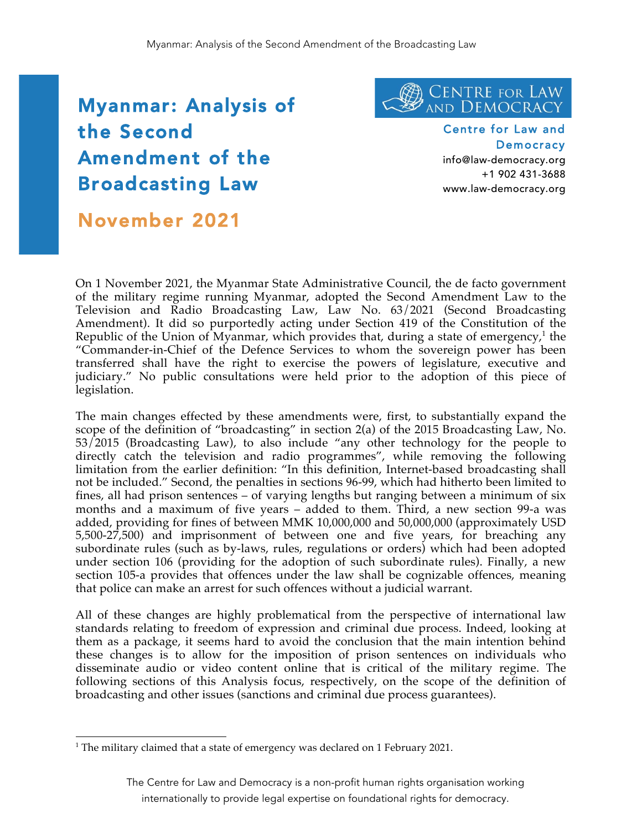# ا<br>+ Myanmar: Analysis of the Second Amendment of the Broadcasting Law



Centre for Law and **Democracy** info@law-democracy.org

+1 902 431-3688 www.law-democracy.org

# November 2021

On 1 November 2021, the Myanmar State Administrative Council, the de facto government of the military regime running Myanmar, adopted the Second Amendment Law to the Television and Radio Broadcasting Law, Law No. 63/2021 (Second Broadcasting Amendment). It did so purportedly acting under Section 419 of the Constitution of the Republic of the Union of Myanmar, which provides that, during a state of emergency, $<sup>1</sup>$  the</sup> "Commander-in-Chief of the Defence Services to whom the sovereign power has been transferred shall have the right to exercise the powers of legislature, executive and judiciary." No public consultations were held prior to the adoption of this piece of legislation.

The main changes effected by these amendments were, first, to substantially expand the scope of the definition of "broadcasting" in section 2(a) of the 2015 Broadcasting Law, No. 53/2015 (Broadcasting Law), to also include "any other technology for the people to directly catch the television and radio programmes", while removing the following limitation from the earlier definition: "In this definition, Internet-based broadcasting shall not be included." Second, the penalties in sections 96-99, which had hitherto been limited to fines, all had prison sentences – of varying lengths but ranging between a minimum of six months and a maximum of five years – added to them. Third, a new section 99-a was added, providing for fines of between MMK 10,000,000 and 50,000,000 (approximately USD 5,500-27,500) and imprisonment of between one and five years, for breaching any subordinate rules (such as by-laws, rules, regulations or orders) which had been adopted under section 106 (providing for the adoption of such subordinate rules). Finally, a new section 105-a provides that offences under the law shall be cognizable offences, meaning that police can make an arrest for such offences without a judicial warrant.

All of these changes are highly problematical from the perspective of international law standards relating to freedom of expression and criminal due process. Indeed, looking at them as a package, it seems hard to avoid the conclusion that the main intention behind these changes is to allow for the imposition of prison sentences on individuals who disseminate audio or video content online that is critical of the military regime. The following sections of this Analysis focus, respectively, on the scope of the definition of broadcasting and other issues (sanctions and criminal due process guarantees).

The Centre for Law and Democracy is a non-profit human rights organisation working internationally to provide legal expertise on foundational rights for democracy.

<sup>|&</sup>lt;br>1 <sup>1</sup> The military claimed that a state of emergency was declared on 1 February 2021.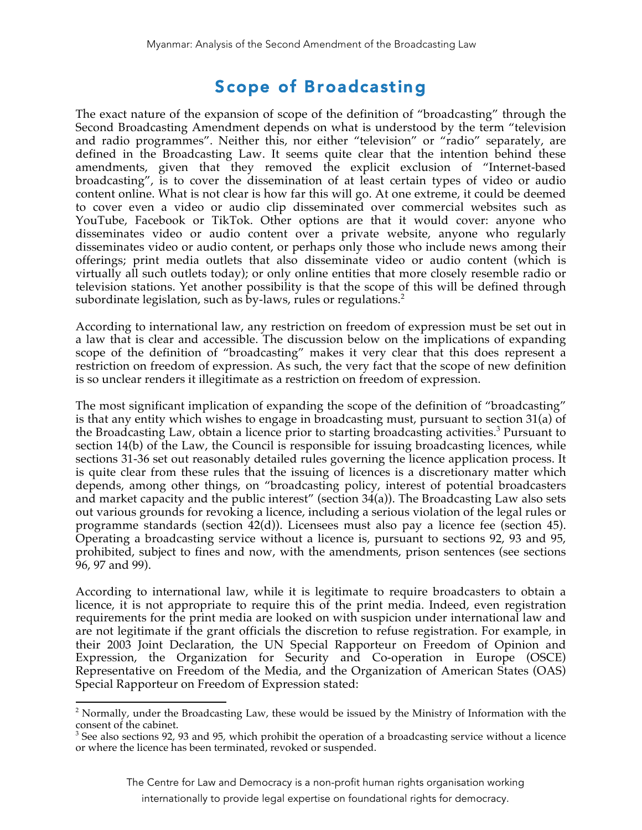### Scope of Broadcasting

The exact nature of the expansion of scope of the definition of "broadcasting" through the Second Broadcasting Amendment depends on what is understood by the term "television and radio programmes". Neither this, nor either "television" or "radio" separately, are defined in the Broadcasting Law. It seems quite clear that the intention behind these amendments, given that they removed the explicit exclusion of "Internet-based broadcasting", is to cover the dissemination of at least certain types of video or audio content online. What is not clear is how far this will go. At one extreme, it could be deemed to cover even a video or audio clip disseminated over commercial websites such as YouTube, Facebook or TikTok. Other options are that it would cover: anyone who disseminates video or audio content over a private website, anyone who regularly disseminates video or audio content, or perhaps only those who include news among their offerings; print media outlets that also disseminate video or audio content (which is virtually all such outlets today); or only online entities that more closely resemble radio or television stations. Yet another possibility is that the scope of this will be defined through subordinate legislation, such as by-laws, rules or regulations.<sup>2</sup>

According to international law, any restriction on freedom of expression must be set out in a law that is clear and accessible. The discussion below on the implications of expanding scope of the definition of "broadcasting" makes it very clear that this does represent a restriction on freedom of expression. As such, the very fact that the scope of new definition is so unclear renders it illegitimate as a restriction on freedom of expression.

The most significant implication of expanding the scope of the definition of "broadcasting" is that any entity which wishes to engage in broadcasting must, pursuant to section 31(a) of the Broadcasting Law, obtain a licence prior to starting broadcasting activities.<sup>3</sup> Pursuant to section 14(b) of the Law, the Council is responsible for issuing broadcasting licences, while sections 31-36 set out reasonably detailed rules governing the licence application process. It is quite clear from these rules that the issuing of licences is a discretionary matter which depends, among other things, on "broadcasting policy, interest of potential broadcasters and market capacity and the public interest" (section  $34(a)$ ). The Broadcasting Law also sets out various grounds for revoking a licence, including a serious violation of the legal rules or programme standards (section 42(d)). Licensees must also pay a licence fee (section 45). Operating a broadcasting service without a licence is, pursuant to sections 92, 93 and 95, prohibited, subject to fines and now, with the amendments, prison sentences (see sections 96, 97 and 99).

According to international law, while it is legitimate to require broadcasters to obtain a licence, it is not appropriate to require this of the print media. Indeed, even registration requirements for the print media are looked on with suspicion under international law and are not legitimate if the grant officials the discretion to refuse registration. For example, in their 2003 Joint Declaration, the UN Special Rapporteur on Freedom of Opinion and Expression, the Organization for Security and Co-operation in Europe (OSCE) Representative on Freedom of the Media, and the Organization of American States (OAS) Special Rapporteur on Freedom of Expression stated:

The Centre for Law and Democracy is a non-profit human rights organisation working

internationally to provide legal expertise on foundational rights for democracy.

 $\frac{1}{2}$  $<sup>2</sup>$  Normally, under the Broadcasting Law, these would be issued by the Ministry of Information with the</sup> consent of the cabinet.

 $3$  See also sections 92, 93 and 95, which prohibit the operation of a broadcasting service without a licence or where the licence has been terminated, revoked or suspended.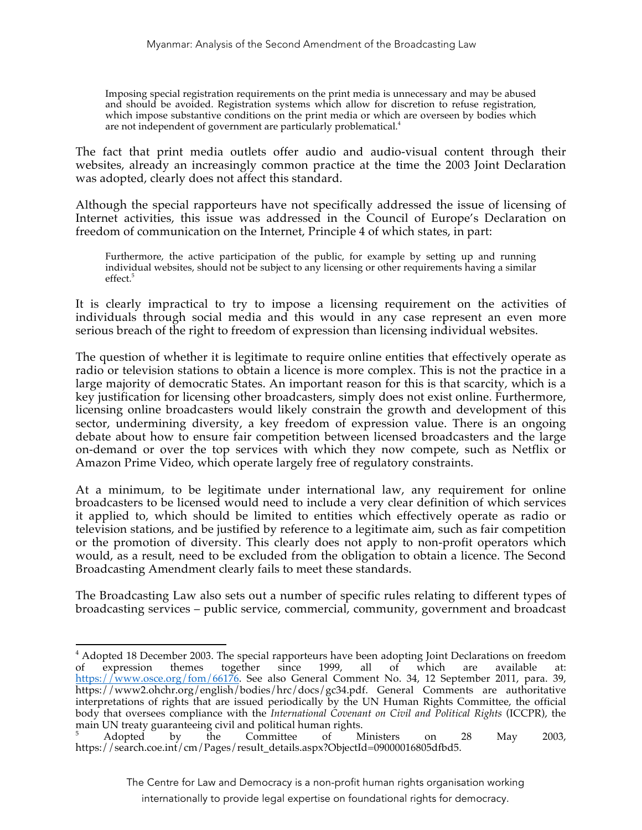Imposing special registration requirements on the print media is unnecessary and may be abused and should be avoided. Registration systems which allow for discretion to refuse registration, which impose substantive conditions on the print media or which are overseen by bodies which are not independent of government are particularly problematical.<sup>4</sup>

The fact that print media outlets offer audio and audio-visual content through their websites, already an increasingly common practice at the time the 2003 Joint Declaration was adopted, clearly does not affect this standard.

Although the special rapporteurs have not specifically addressed the issue of licensing of Internet activities, this issue was addressed in the Council of Europe's Declaration on freedom of communication on the Internet, Principle 4 of which states, in part:

Furthermore, the active participation of the public, for example by setting up and running individual websites, should not be subject to any licensing or other requirements having a similar effect.<sup>5</sup>

It is clearly impractical to try to impose a licensing requirement on the activities of individuals through social media and this would in any case represent an even more serious breach of the right to freedom of expression than licensing individual websites.

The question of whether it is legitimate to require online entities that effectively operate as radio or television stations to obtain a licence is more complex. This is not the practice in a large majority of democratic States. An important reason for this is that scarcity, which is a key justification for licensing other broadcasters, simply does not exist online. Furthermore, licensing online broadcasters would likely constrain the growth and development of this sector, undermining diversity, a key freedom of expression value. There is an ongoing debate about how to ensure fair competition between licensed broadcasters and the large on-demand or over the top services with which they now compete, such as Netflix or Amazon Prime Video, which operate largely free of regulatory constraints.

At a minimum, to be legitimate under international law, any requirement for online broadcasters to be licensed would need to include a very clear definition of which services it applied to, which should be limited to entities which effectively operate as radio or television stations, and be justified by reference to a legitimate aim, such as fair competition or the promotion of diversity. This clearly does not apply to non-profit operators which would, as a result, need to be excluded from the obligation to obtain a licence. The Second Broadcasting Amendment clearly fails to meet these standards.

The Broadcasting Law also sets out a number of specific rules relating to different types of broadcasting services – public service, commercial, community, government and broadcast

The Centre for Law and Democracy is a non-profit human rights organisation working

internationally to provide legal expertise on foundational rights for democracy.

 $\frac{1}{4}$ <sup>4</sup> Adopted 18 December 2003. The special rapporteurs have been adopting Joint Declarations on freedom of expression themes together since 1999, all of which are available at: of expression themes together since 1999, all of which are available at: https://www.osce.org/fom/66176. See also General Comment No. 34, 12 September 2011, para. 39, https://www2.ohchr.org/english/bodies/hrc/docs/gc34.pdf. General Comments are authoritative interpretations of rights that are issued periodically by the UN Human Rights Committee, the official body that oversees compliance with the *International Covenant on Civil and Political Rights* (ICCPR), the main UN treaty guaranteeing civil and political human rights.<br>
<sup>5</sup> Adopted by the Committee of Ministers on 28 May 2003,

https://search.coe.int/cm/Pages/result\_details.aspx?ObjectId=09000016805dfbd5.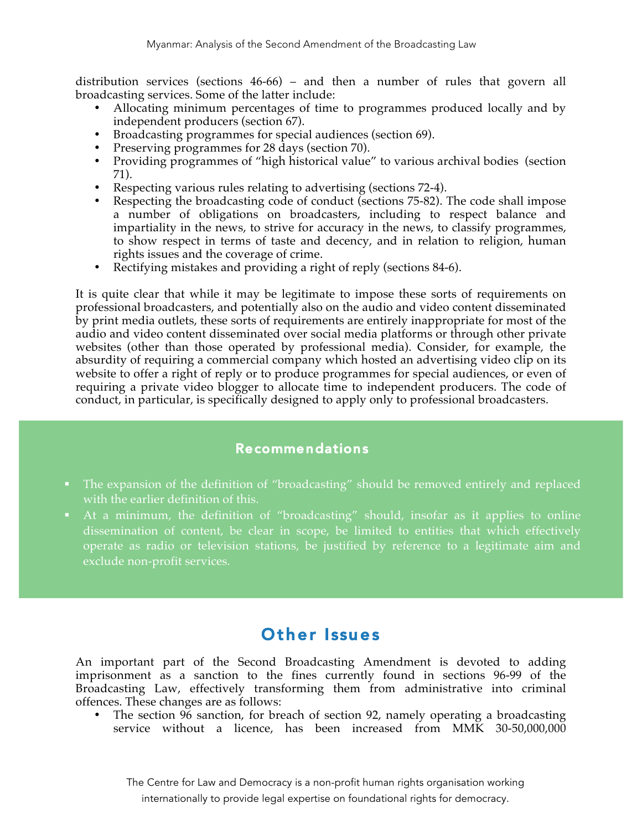distribution services (sections 46-66) – and then a number of rules that govern all broadcasting services. Some of the latter include:

- Allocating minimum percentages of time to programmes produced locally and by independent producers (section 67).
- Broadcasting programmes for special audiences (section 69).
- Preserving programmes for 28 days (section 70).
- Providing programmes of "high historical value" to various archival bodies (section 71).
- Respecting various rules relating to advertising (sections 72-4).
- Respecting the broadcasting code of conduct (sections 75-82). The code shall impose a number of obligations on broadcasters, including to respect balance and impartiality in the news, to strive for accuracy in the news, to classify programmes, to show respect in terms of taste and decency, and in relation to religion, human rights issues and the coverage of crime.
- Rectifying mistakes and providing a right of reply (sections 84-6).

It is quite clear that while it may be legitimate to impose these sorts of requirements on professional broadcasters, and potentially also on the audio and video content disseminated by print media outlets, these sorts of requirements are entirely inappropriate for most of the audio and video content disseminated over social media platforms or through other private websites (other than those operated by professional media). Consider, for example, the absurdity of requiring a commercial company which hosted an advertising video clip on its website to offer a right of reply or to produce programmes for special audiences, or even of requiring a private video blogger to allocate time to independent producers. The code of conduct, in particular, is specifically designed to apply only to professional broadcasters.

#### Recommendations

- ! The expansion of the definition of "broadcasting" should be removed entirely and replaced with the earlier definition of this.
- ! At a minimum, the definition of "broadcasting" should, insofar as it applies to online dissemination of content, be clear in scope, be limited to entities that which effectively operate as radio or television stations, be justified by reference to a legitimate aim and exclude non-profit services.

### Other Issues

An important part of the Second Broadcasting Amendment is devoted to adding imprisonment as a sanction to the fines currently found in sections 96-99 of the Broadcasting Law, effectively transforming them from administrative into criminal offences. These changes are as follows:

• The section 96 sanction, for breach of section 92, namely operating a broadcasting service without a licence, has been increased from MMK 30-50,000,000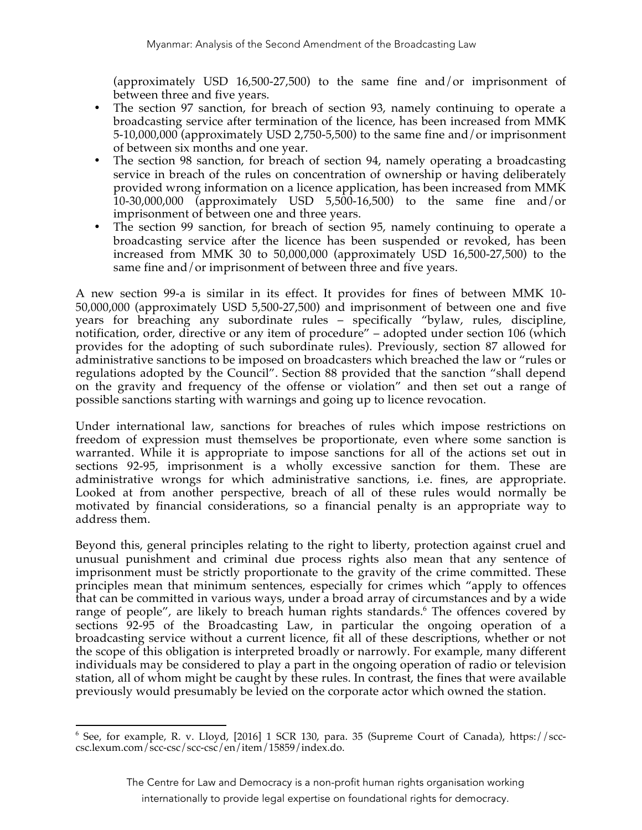(approximately USD 16,500-27,500) to the same fine and/or imprisonment of between three and five years.

- The section 97 sanction, for breach of section 93, namely continuing to operate a broadcasting service after termination of the licence, has been increased from MMK 5-10,000,000 (approximately USD 2,750-5,500) to the same fine and/or imprisonment of between six months and one year.
- The section 98 sanction, for breach of section 94, namely operating a broadcasting service in breach of the rules on concentration of ownership or having deliberately provided wrong information on a licence application, has been increased from MMK 10-30,000,000 (approximately USD 5,500-16,500) to the same fine and/or imprisonment of between one and three years.
- The section 99 sanction, for breach of section 95, namely continuing to operate a broadcasting service after the licence has been suspended or revoked, has been increased from MMK 30 to 50,000,000 (approximately USD 16,500-27,500) to the same fine and/or imprisonment of between three and five years.

A new section 99-a is similar in its effect. It provides for fines of between MMK 10- 50,000,000 (approximately USD 5,500-27,500) and imprisonment of between one and five years for breaching any subordinate rules – specifically "bylaw, rules, discipline, notification, order, directive or any item of procedure" – adopted under section 106 (which provides for the adopting of such subordinate rules). Previously, section 87 allowed for administrative sanctions to be imposed on broadcasters which breached the law or "rules or regulations adopted by the Council". Section 88 provided that the sanction "shall depend on the gravity and frequency of the offense or violation" and then set out a range of possible sanctions starting with warnings and going up to licence revocation.

Under international law, sanctions for breaches of rules which impose restrictions on freedom of expression must themselves be proportionate, even where some sanction is warranted. While it is appropriate to impose sanctions for all of the actions set out in sections 92-95, imprisonment is a wholly excessive sanction for them. These are administrative wrongs for which administrative sanctions, i.e. fines, are appropriate. Looked at from another perspective, breach of all of these rules would normally be motivated by financial considerations, so a financial penalty is an appropriate way to address them.

Beyond this, general principles relating to the right to liberty, protection against cruel and unusual punishment and criminal due process rights also mean that any sentence of imprisonment must be strictly proportionate to the gravity of the crime committed. These principles mean that minimum sentences, especially for crimes which "apply to offences that can be committed in various ways, under a broad array of circumstances and by a wide range of people", are likely to breach human rights standards.<sup>6</sup> The offences covered by sections 92-95 of the Broadcasting Law, in particular the ongoing operation of a broadcasting service without a current licence, fit all of these descriptions, whether or not the scope of this obligation is interpreted broadly or narrowly. For example, many different individuals may be considered to play a part in the ongoing operation of radio or television station, all of whom might be caught by these rules. In contrast, the fines that were available previously would presumably be levied on the corporate actor which owned the station.

 <sup>6</sup>  $6$  See, for example, R. v. Lloyd, [2016] 1 SCR 130, para. 35 (Supreme Court of Canada), https://scccsc.lexum.com/scc-csc/scc-csc/en/item/15859/index.do.